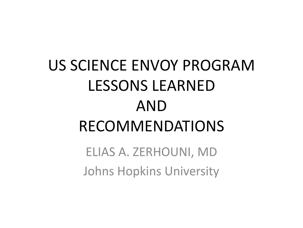# US SCIENCE ENVOY PROGRAM LESSONS LEARNED AND RECOMMENDATIONS

ELIAS A. ZERHOUNI, MD Johns Hopkins University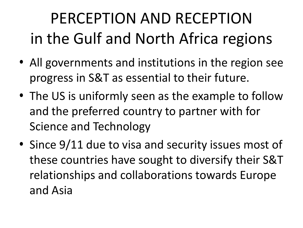# PERCEPTION AND RECEPTION in the Gulf and North Africa regions

- All governments and institutions in the region see progress in S&T as essential to their future.
- The US is uniformly seen as the example to follow and the preferred country to partner with for Science and Technology
- Since 9/11 due to visa and security issues most of these countries have sought to diversify their S&T relationships and collaborations towards Europe and Asia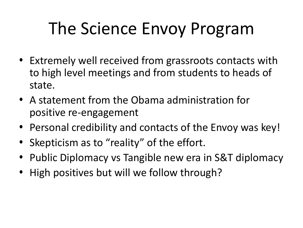# The Science Envoy Program

- Extremely well received from grassroots contacts with to high level meetings and from students to heads of state.
- A statement from the Obama administration for positive re-engagement
- Personal credibility and contacts of the Envoy was key!
- Skepticism as to "reality" of the effort.
- Public Diplomacy vs Tangible new era in S&T diplomacy
- High positives but will we follow through?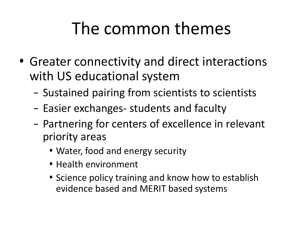# The common themes

- Greater connectivity and direct interactions with US educational system
	- Sustained pairing from scientists to scientists
	- Easier exchanges- students and faculty
	- Partnering for centers of excellence in relevant priority areas
		- Water, food and energy security
		- Health environment
		- Science policy training and know how to establish evidence based and MERIT based systems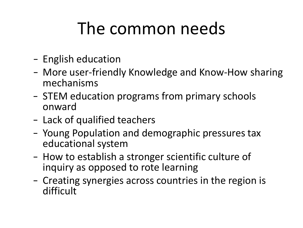# The common needs

- English education
- More user-friendly Knowledge and Know-How sharing mechanisms
- STEM education programs from primary schools onward
- Lack of qualified teachers
- Young Population and demographic pressures tax educational system
- How to establish a stronger scientific culture of inquiry as opposed to rote learning
- Creating synergies across countries in the region is difficult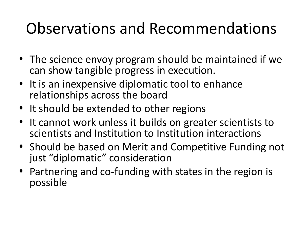#### Observations and Recommendations

- The science envoy program should be maintained if we can show tangible progress in execution.
- It is an inexpensive diplomatic tool to enhance relationships across the board
- It should be extended to other regions
- It cannot work unless it builds on greater scientists to scientists and Institution to Institution interactions
- Should be based on Merit and Competitive Funding not just "diplomatic" consideration
- Partnering and co-funding with states in the region is possible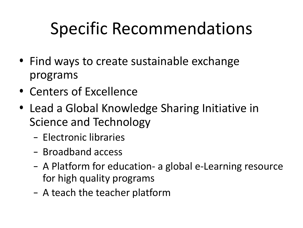# Specific Recommendations

- Find ways to create sustainable exchange programs
- Centers of Excellence
- Lead a Global Knowledge Sharing Initiative in Science and Technology
	- Electronic libraries
	- Broadband access
	- A Platform for education- a global e-Learning resource for high quality programs
	- A teach the teacher platform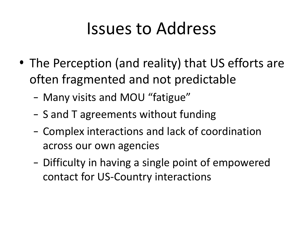## Issues to Address

- The Perception (and reality) that US efforts are often fragmented and not predictable
	- Many visits and MOU "fatigue"
	- S and T agreements without funding
	- Complex interactions and lack of coordination across our own agencies
	- Difficulty in having a single point of empowered contact for US-Country interactions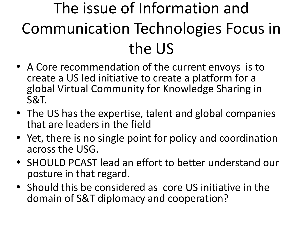# The issue of Information and Communication Technologies Focus in the US

- A Core recommendation of the current envoys is to create a US led initiative to create a platform for a global Virtual Community for Knowledge Sharing in S&T.
- The US has the expertise, talent and global companies that are leaders in the field
- Yet, there is no single point for policy and coordination across the USG.
- SHOULD PCAST lead an effort to better understand our posture in that regard.
- Should this be considered as core US initiative in the domain of S&T diplomacy and cooperation?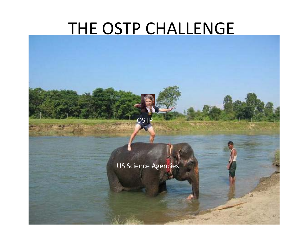#### THE OSTP CHALLENGE

US Science Agencies

**OSTP**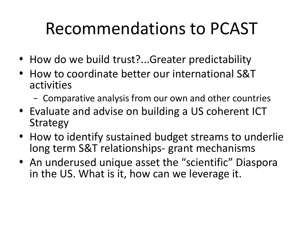# Recommendations to PCAST

- How do we build trust?...Greater predictability
- How to coordinate better our international S&T activities
	- Comparative analysis from our own and other countries
- Evaluate and advise on building a US coherent ICT Strategy
- How to identify sustained budget streams to underlie long term S&T relationships- grant mechanisms
- An underused unique asset the "scientific" Diaspora in the US. What is it, how can we leverage it.